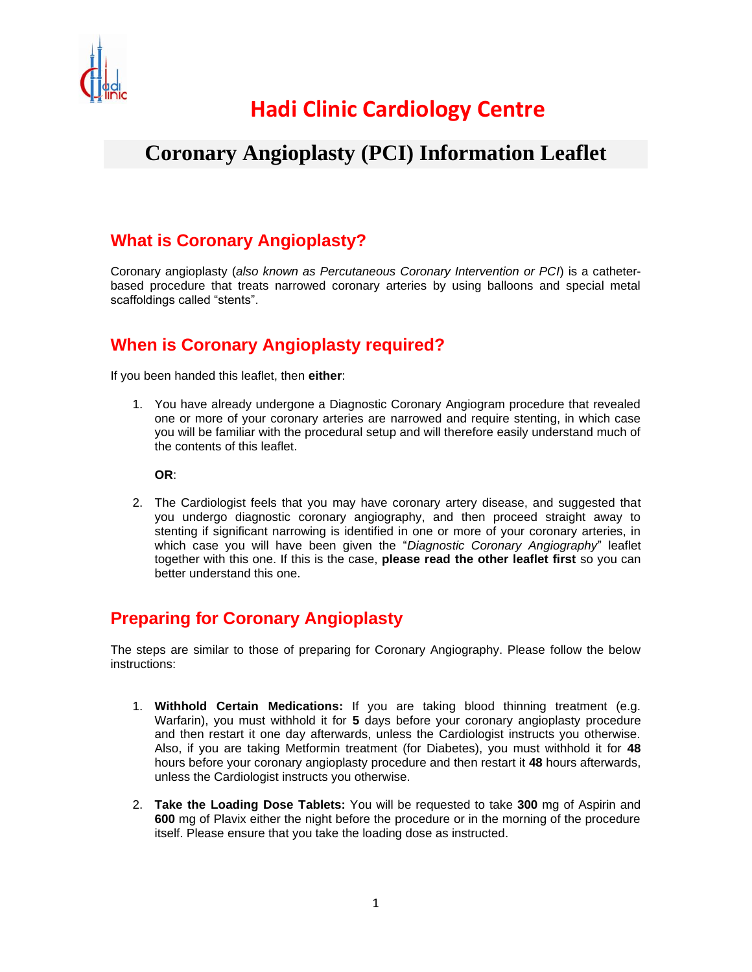

## **Hadi Clinic Cardiology Centre**

### **Coronary Angioplasty (PCI) Information Leaflet**

#### **What is Coronary Angioplasty?**

Coronary angioplasty (*also known as Percutaneous Coronary Intervention or PCI*) is a catheterbased procedure that treats narrowed coronary arteries by using balloons and special metal scaffoldings called "stents".

### **When is Coronary Angioplasty required?**

If you been handed this leaflet, then **either**:

1. You have already undergone a Diagnostic Coronary Angiogram procedure that revealed one or more of your coronary arteries are narrowed and require stenting, in which case you will be familiar with the procedural setup and will therefore easily understand much of the contents of this leaflet.

**OR**:

2. The Cardiologist feels that you may have coronary artery disease, and suggested that you undergo diagnostic coronary angiography, and then proceed straight away to stenting if significant narrowing is identified in one or more of your coronary arteries, in which case you will have been given the "*Diagnostic Coronary Angiography*" leaflet together with this one. If this is the case, **please read the other leaflet first** so you can better understand this one.

### **Preparing for Coronary Angioplasty**

The steps are similar to those of preparing for Coronary Angiography. Please follow the below instructions:

- 1. **Withhold Certain Medications:** If you are taking blood thinning treatment (e.g. Warfarin), you must withhold it for **5** days before your coronary angioplasty procedure and then restart it one day afterwards, unless the Cardiologist instructs you otherwise. Also, if you are taking Metformin treatment (for Diabetes), you must withhold it for **48** hours before your coronary angioplasty procedure and then restart it **48** hours afterwards, unless the Cardiologist instructs you otherwise.
- 2. **Take the Loading Dose Tablets:** You will be requested to take **300** mg of Aspirin and **600** mg of Plavix either the night before the procedure or in the morning of the procedure itself. Please ensure that you take the loading dose as instructed.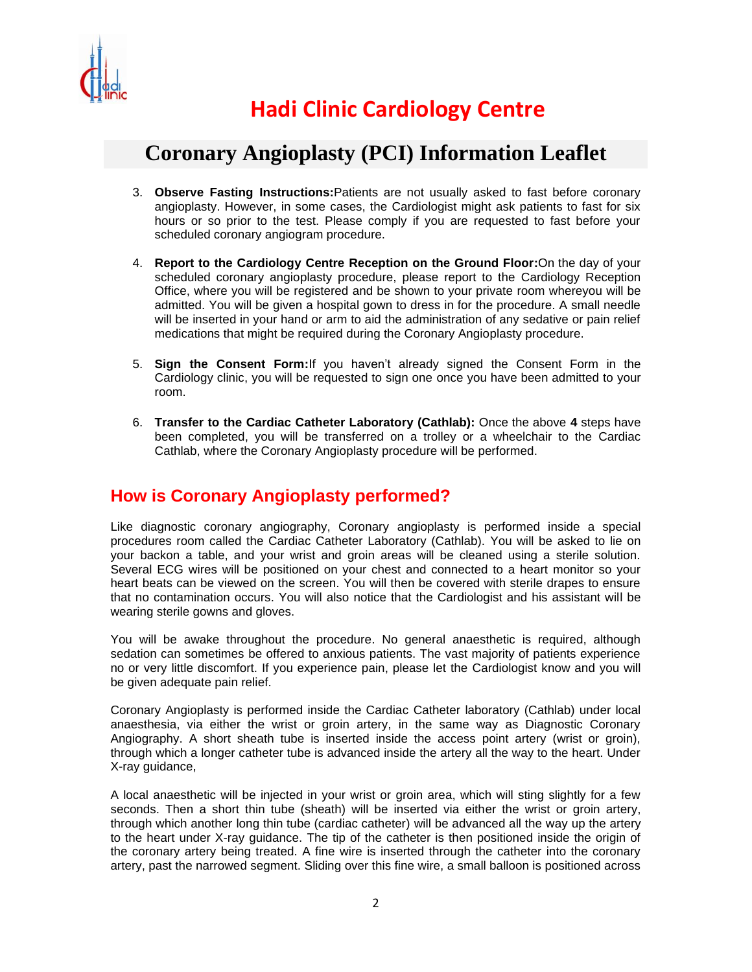

### **Coronary Angioplasty (PCI) Information Leaflet**

- 3. **Observe Fasting Instructions:**Patients are not usually asked to fast before coronary angioplasty. However, in some cases, the Cardiologist might ask patients to fast for six hours or so prior to the test. Please comply if you are requested to fast before your scheduled coronary angiogram procedure.
- 4. **Report to the Cardiology Centre Reception on the Ground Floor:**On the day of your scheduled coronary angioplasty procedure, please report to the Cardiology Reception Office, where you will be registered and be shown to your private room whereyou will be admitted. You will be given a hospital gown to dress in for the procedure. A small needle will be inserted in your hand or arm to aid the administration of any sedative or pain relief medications that might be required during the Coronary Angioplasty procedure.
- 5. **Sign the Consent Form:**If you haven't already signed the Consent Form in the Cardiology clinic, you will be requested to sign one once you have been admitted to your room.
- 6. **Transfer to the Cardiac Catheter Laboratory (Cathlab):** Once the above **4** steps have been completed, you will be transferred on a trolley or a wheelchair to the Cardiac Cathlab, where the Coronary Angioplasty procedure will be performed.

### **How is Coronary Angioplasty performed?**

Like diagnostic coronary angiography, Coronary angioplasty is performed inside a special procedures room called the Cardiac Catheter Laboratory (Cathlab). You will be asked to lie on your backon a table, and your wrist and groin areas will be cleaned using a sterile solution. Several ECG wires will be positioned on your chest and connected to a heart monitor so your heart beats can be viewed on the screen. You will then be covered with sterile drapes to ensure that no contamination occurs. You will also notice that the Cardiologist and his assistant will be wearing sterile gowns and gloves.

You will be awake throughout the procedure. No general anaesthetic is required, although sedation can sometimes be offered to anxious patients. The vast majority of patients experience no or very little discomfort. If you experience pain, please let the Cardiologist know and you will be given adequate pain relief.

Coronary Angioplasty is performed inside the Cardiac Catheter laboratory (Cathlab) under local anaesthesia, via either the wrist or groin artery, in the same way as Diagnostic Coronary Angiography. A short sheath tube is inserted inside the access point artery (wrist or groin), through which a longer catheter tube is advanced inside the artery all the way to the heart. Under X-ray guidance,

A local anaesthetic will be injected in your wrist or groin area, which will sting slightly for a few seconds. Then a short thin tube (sheath) will be inserted via either the wrist or groin artery, through which another long thin tube (cardiac catheter) will be advanced all the way up the artery to the heart under X-ray guidance. The tip of the catheter is then positioned inside the origin of the coronary artery being treated. A fine wire is inserted through the catheter into the coronary artery, past the narrowed segment. Sliding over this fine wire, a small balloon is positioned across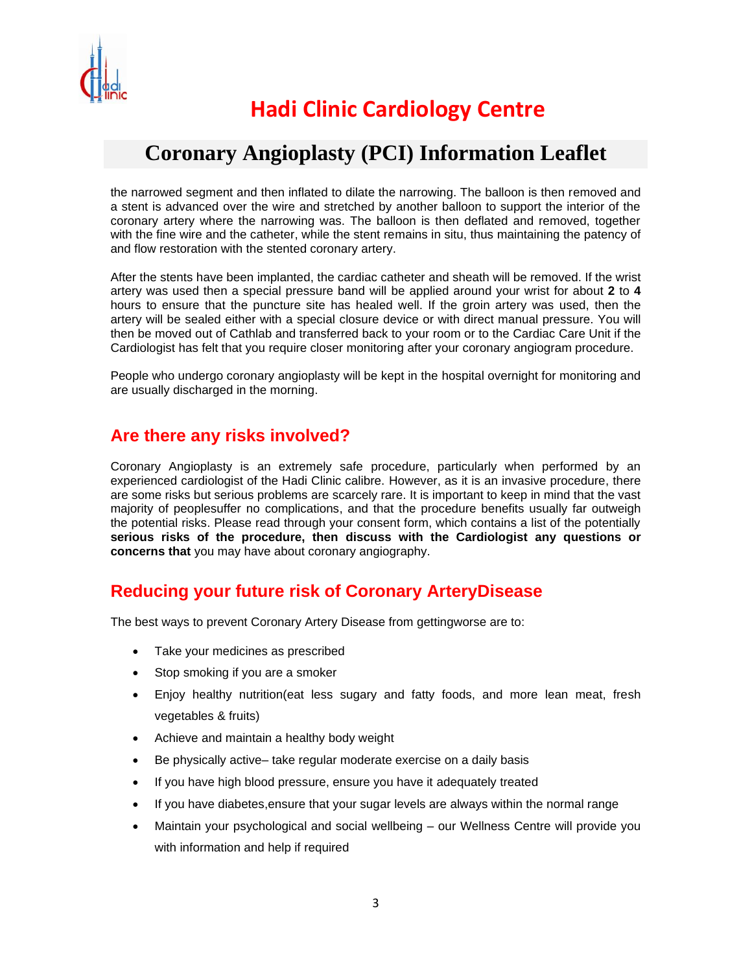

## **Coronary Angioplasty (PCI) Information Leaflet**

the narrowed segment and then inflated to dilate the narrowing. The balloon is then removed and a stent is advanced over the wire and stretched by another balloon to support the interior of the coronary artery where the narrowing was. The balloon is then deflated and removed, together with the fine wire and the catheter, while the stent remains in situ, thus maintaining the patency of and flow restoration with the stented coronary artery.

After the stents have been implanted, the cardiac catheter and sheath will be removed. If the wrist artery was used then a special pressure band will be applied around your wrist for about **2** to **4** hours to ensure that the puncture site has healed well. If the groin artery was used, then the artery will be sealed either with a special closure device or with direct manual pressure. You will then be moved out of Cathlab and transferred back to your room or to the Cardiac Care Unit if the Cardiologist has felt that you require closer monitoring after your coronary angiogram procedure.

People who undergo coronary angioplasty will be kept in the hospital overnight for monitoring and are usually discharged in the morning.

#### **Are there any risks involved?**

Coronary Angioplasty is an extremely safe procedure, particularly when performed by an experienced cardiologist of the Hadi Clinic calibre. However, as it is an invasive procedure, there are some risks but serious problems are scarcely rare. It is important to keep in mind that the vast majority of peoplesuffer no complications, and that the procedure benefits usually far outweigh the potential risks. Please read through your consent form, which contains a list of the potentially **serious risks of the procedure, then discuss with the Cardiologist any questions or concerns that** you may have about coronary angiography.

#### **Reducing your future risk of Coronary ArteryDisease**

The best ways to prevent Coronary Artery Disease from gettingworse are to:

- Take your medicines as prescribed
- Stop smoking if you are a smoker
- Enjoy healthy nutrition(eat less sugary and fatty foods, and more lean meat, fresh vegetables & fruits)
- Achieve and maintain a healthy body weight
- Be physically active– take regular moderate exercise on a daily basis
- If you have high blood pressure, ensure you have it adequately treated
- If you have diabetes,ensure that your sugar levels are always within the normal range
- Maintain your psychological and social wellbeing our Wellness Centre will provide you with information and help if required